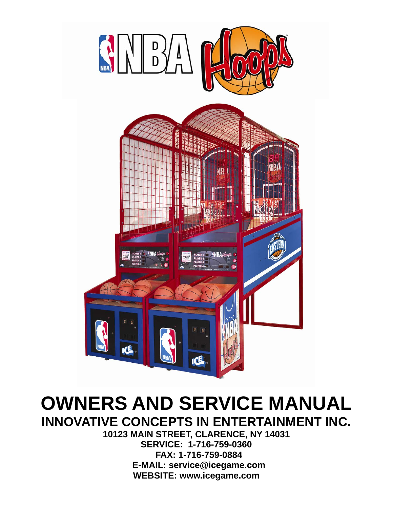

### **OWNERS AND SERVICE MANUAL INNOVATIVE CONCEPTS IN ENTERTAINMENT INC.**

**10123 MAIN STREET, CLARENCE, NY 14031 SERVICE: 1-716-759-0360 FAX: 1-716-759-0884 E-MAIL: service@icegame.com WEBSITE: www.icegame.com**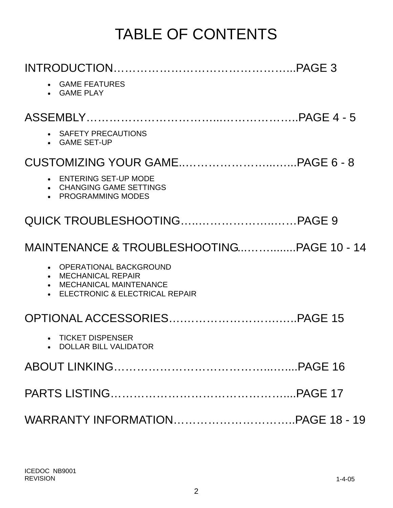## TABLE OF CONTENTS

| • GAME FEATURES<br>• GAME PLAY                                            |  |
|---------------------------------------------------------------------------|--|
|                                                                           |  |
| • SAFETY PRECAUTIONS<br>• GAME SET-UP                                     |  |
|                                                                           |  |
| • ENTERING SET-UP MODE<br>• CHANGING GAME SETTINGS<br>• PROGRAMMING MODES |  |
|                                                                           |  |
|                                                                           |  |
| OPERATIONAL BACKGROUND<br>$\bullet$<br>• MECHANICAL REPAIR                |  |
| • MECHANICAL MAINTENANCE<br>• ELECTRONIC & ELECTRICAL REPAIR              |  |
|                                                                           |  |
| • TICKET DISPENSER<br><b>DOLLAR BILL VALIDATOR</b>                        |  |
|                                                                           |  |
|                                                                           |  |
|                                                                           |  |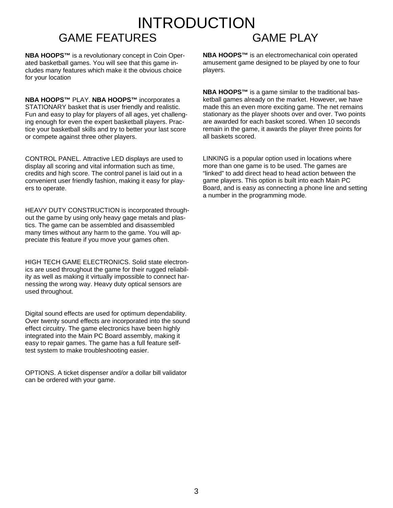#### INTRODUCTION GAME FEATURES GAME PLAY

**NBA HOOPS™** is a revolutionary concept in Coin Operated basketball games. You will see that this game includes many features which make it the obvious choice for your location

**NBA HOOPS™** PLAY. **NBA HOOPS™** incorporates a STATIONARY basket that is user friendly and realistic. Fun and easy to play for players of all ages, yet challenging enough for even the expert basketball players. Practice your basketball skills and try to better your last score or compete against three other players.

CONTROL PANEL. Attractive LED displays are used to display all scoring and vital information such as time, credits and high score. The control panel is laid out in a convenient user friendly fashion, making it easy for players to operate.

HEAVY DUTY CONSTRUCTION is incorporated throughout the game by using only heavy gage metals and plastics. The game can be assembled and disassembled many times without any harm to the game. You will appreciate this feature if you move your games often.

HIGH TECH GAME ELECTRONICS. Solid state electronics are used throughout the game for their rugged reliability as well as making it virtually impossible to connect harnessing the wrong way. Heavy duty optical sensors are used throughout.

Digital sound effects are used for optimum dependability. Over twenty sound effects are incorporated into the sound effect circuitry. The game electronics have been highly integrated into the Main PC Board assembly, making it easy to repair games. The game has a full feature selftest system to make troubleshooting easier.

OPTIONS. A ticket dispenser and/or a dollar bill validator can be ordered with your game.

**NBA HOOPS™** is an electromechanical coin operated amusement game designed to be played by one to four players.

**NBA HOOPS™** is a game similar to the traditional basketball games already on the market. However, we have made this an even more exciting game. The net remains stationary as the player shoots over and over. Two points are awarded for each basket scored. When 10 seconds remain in the game, it awards the player three points for all baskets scored.

LINKING is a popular option used in locations where more than one game is to be used. The games are "linked" to add direct head to head action between the game players. This option is built into each Main PC Board, and is easy as connecting a phone line and setting a number in the programming mode.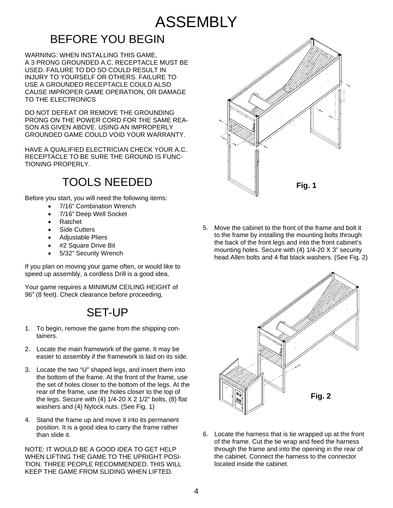### ASSEMBLY

#### BEFORE YOU BEGIN

WARNING: WHEN INSTALLING THIS GAME, A 3 PRONG GROUNDED A.C. RECEPTACLE MUST BE USED. FAILURE TO DO SO COULD RESULT IN INJURY TO YOURSELF OR OTHERS. FAILURE TO USE A GROUNDED RECEPTACLE COULD ALSO CAUSE IMPROPER GAME OPERATION, OR DAMAGE TO THE ELECTRONICS

DO NOT DEFEAT OR REMOVE THE GROUNDING PRONG ON THE POWER CORD FOR THE SAME REA-SON AS GIVEN ABOVE. USING AN IMPROPERLY GROUNDED GAME COULD VOID YOUR WARRANTY.

HAVE A QUALIFIED ELECTRICIAN CHECK YOUR A.C. RECEPTACLE TO BE SURE THE GROUND IS FUNC-TIONING PROPERLY.

#### TOOLS NEEDED

Before you start, you will need the following items:

- 7/16" Combination Wrench
- 7/16" Deep Well Socket
- Ratchet
- Side Cutters
- Adjustable Pliers
- #2 Square Drive Bit
- 5/32" Security Wrench

If you plan on moving your game often, or would like to speed up assembly, a cordless Drill is a good idea.

Your game requires a MINIMUM CEILING HEIGHT of 96" (8 feet). Check clearance before proceeding.

#### SET-UP

- 1. To begin, remove the game from the shipping containers.
- 2. Locate the main framework of the game. It may be easier to assembly if the framework is laid on its side.
- 3. Locate the two "U" shaped legs, and insert them into the bottom of the frame. At the front of the frame, use the set of holes closer to the bottom of the legs. At the rear of the frame, use the holes closer to the top of the legs. Secure with (4) 1/4-20 X 2 1/2" bolts, (8) flat washers and (4) Nylock nuts. (See Fig. 1)
- 4. Stand the frame up and move it into its permanent position. It is a good idea to carry the frame rather than slide it.

NOTE: IT WOULD BE A GOOD IDEA TO GET HELP WHEN LIFTING THE GAME TO THE UPRIGHT POSI-TION. THREE PEOPLE RECOMMENDED. THIS WILL KEEP THE GAME FROM SLIDING WHEN LIFTED.



5. Move the cabinet to the front of the frame and bolt it to the frame by installing the mounting bolts through the back of the front legs and into the front cabinet's mounting holes. Secure with (4) 1/4-20 X 3" security head Allen bolts and 4 flat black washers. (See Fig. 2)



6. Locate the harness that is tie wrapped up at the front of the frame. Cut the tie wrap and feed the harness through the frame and into the opening in the rear of the cabinet. Connect the harness to the connector located inside the cabinet.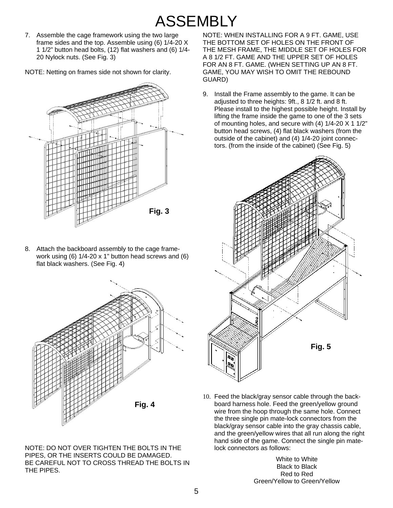### ASSEMBLY

7. Assemble the cage framework using the two large frame sides and the top. Assemble using (6) 1/4-20 X 1 1/2" button head bolts, (12) flat washers and (6) 1/4- 20 Nylock nuts. (See Fig. 3)

NOTE: Netting on frames side not shown for clarity.



8. Attach the backboard assembly to the cage framework using (6) 1/4-20 x 1" button head screws and (6) flat black washers. (See Fig. 4)



NOTE: DO NOT OVER TIGHTEN THE BOLTS IN THE PIPES, OR THE INSERTS COULD BE DAMAGED. BE CAREFUL NOT TO CROSS THREAD THE BOLTS IN THE PIPES.

NOTE: WHEN INSTALLING FOR A 9 FT. GAME, USE THE BOTTOM SET OF HOLES ON THE FRONT OF THE MESH FRAME, THE MIDDLE SET OF HOLES FOR A 8 1/2 FT. GAME AND THE UPPER SET OF HOLES FOR AN 8 FT. GAME. (WHEN SETTING UP AN 8 FT. GAME, YOU MAY WISH TO OMIT THE REBOUND GUARD)

9. Install the Frame assembly to the game. It can be adjusted to three heights: 9ft., 8 1/2 ft. and 8 ft. Please install to the highest possible height. Install by lifting the frame inside the game to one of the 3 sets of mounting holes, and secure with (4) 1/4-20 X 1 1/2" button head screws, (4) flat black washers (from the outside of the cabinet) and (4) 1/4-20 joint connectors. (from the inside of the cabinet) (See Fig. 5)



10. Feed the black/gray sensor cable through the backboard harness hole. Feed the green/yellow ground wire from the hoop through the same hole. Connect the three single pin mate-lock connectors from the black/gray sensor cable into the gray chassis cable, and the green/yellow wires that all run along the right hand side of the game. Connect the single pin matelock connectors as follows:

> White to White Black to Black Red to Red Green/Yellow to Green/Yellow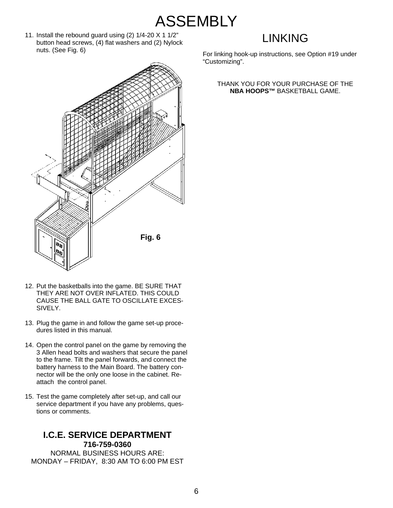- **ASSEMBLY**
- 11. Install the rebound guard using (2) 1/4-20 X 1 1/2" button head screws, (4) flat washers and (2) Nylock nuts. (See Fig. 6)

#### LINKING

For linking hook-up instructions, see Option #19 under "Customizing".

#### THANK YOU FOR YOUR PURCHASE OF THE **NBA HOOPS™** BASKETBALL GAME.



- 12. Put the basketballs into the game. BE SURE THAT THEY ARE NOT OVER INFLATED. THIS COULD CAUSE THE BALL GATE TO OSCILLATE EXCES-SIVELY.
- 13. Plug the game in and follow the game set-up procedures listed in this manual.
- 14. Open the control panel on the game by removing the 3 Allen head bolts and washers that secure the panel to the frame. Tilt the panel forwards, and connect the battery harness to the Main Board. The battery connector will be the only one loose in the cabinet. Reattach the control panel.
- 15. Test the game completely after set-up, and call our service department if you have any problems, questions or comments.

#### **I.C.E. SERVICE DEPARTMENT 716-759-0360**

NORMAL BUSINESS HOURS ARE: MONDAY – FRIDAY, 8:30 AM TO 6:00 PM EST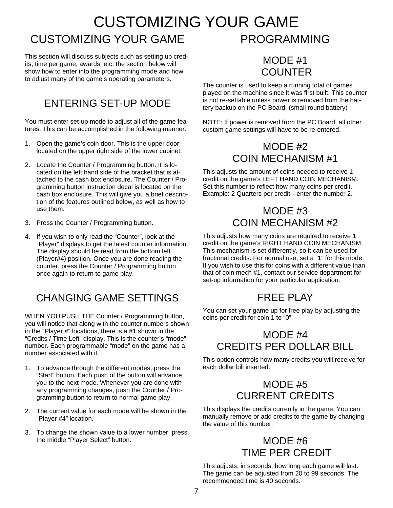#### CUSTOMIZING YOUR GAME CUSTOMIZING YOUR GAME PROGRAMMING

This section will discuss subjects such as setting up credits, time per game, awards, etc. the section below will show how to enter into the programming mode and how to adjust many of the game's operating parameters.

#### ENTERING SET-UP MODE

You must enter set-up mode to adjust all of the game features. This can be accomplished in the following manner:

- 1. Open the game's coin door. This is the upper door located on the upper right side of the lower cabinet.
- 2. Locate the Counter / Programming button. It is located on the left hand side of the bracket that is attached to the cash box enclosure. The Counter / Programming button instruction decal is located on the cash box enclosure. This will give you a brief description of the features outlined below, as well as how to use them.
- 3. Press the Counter / Programming button.
- 4. If you wish to only read the "Counter", look at the "Player" displays to get the latest counter information. The display should be read from the bottom left (Player#4) position. Once you are done reading the counter, press the Counter / Programming button once again to return to game play.

#### CHANGING GAME SETTINGS

WHEN YOU PUSH THE Counter / Programming button, you will notice that along with the counter numbers shown in the "Player #" locations, there is a #1 shown in the "Credits / Time Left" display. This is the counter's "mode" number. Each programmable "mode" on the game has a number associated with it.

- 1. To advance through the different modes, press the "Start" button. Each push of the button will advance you to the next mode. Whenever you are done with any programming changes, push the Counter / Programming button to return to normal game play.
- 2. The current value for each mode will be shown in the "Player #4" location.
- 3. To change the shown value to a lower number, press the middle "Player Select" button.

#### MODE #1 COUNTER

The counter is used to keep a running total of games played on the machine since it was first built. This counter is not re-settable unless power is removed from the battery backup on the PC Board. (small round battery)

NOTE: If power is removed from the PC Board, all other custom game settings will have to be re-entered.

#### MODE #2 COIN MECHANISM #1

This adjusts the amount of coins needed to receive 1 credit on the game's LEFT HAND COIN MECHANISM. Set this number to reflect how many coins per credit. Example: 2 Quarters per credit—enter the number 2.

#### MODE #3 COIN MECHANISM #2

This adjusts how many coins are required to receive 1 credit on the game's RIGHT HAND COIN MECHANISM. This mechanism is set differently, so it can be used for fractional credits. For normal use, set a "1" for this mode. If you wish to use this for coins with a different value than that of coin mech #1, contact our service department for set-up information for your particular application.

#### FRFF PI AY

You can set your game up for free play by adjusting the coins per credit for coin 1 to "0".

#### MODE #4 CREDITS PER DOLLAR BILL

This option controls how many credits you will receive for each dollar bill inserted.

#### MODE #5 CURRENT CREDITS

This displays the credits currently in the game. You can manually remove or add credits to the game by changing the value of this number.

#### MODE #6 TIME PER CREDIT

This adjusts, in seconds, how long each game will last. The game can be adjusted from 20 to 99 seconds. The recommended time is 40 seconds.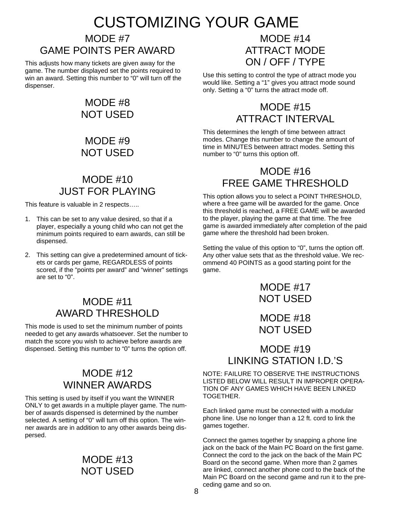### CUSTOMIZING YOUR GAME

#### MODE #7 GAME POINTS PER AWARD

This adjusts how many tickets are given away for the game. The number displayed set the points required to win an award. Setting this number to "0" will turn off the dispenser.

#### MODE #8 NOT USED

#### MODE #9 NOT USED

#### MODE #10 JUST FOR PLAYING

This feature is valuable in 2 respects…..

- 1. This can be set to any value desired, so that if a player, especially a young child who can not get the minimum points required to earn awards, can still be dispensed.
- 2. This setting can give a predetermined amount of tickets or cards per game, REGARDLESS of points scored, if the "points per award" and "winner" settings are set to "0".

#### MODE #11 AWARD THRESHOLD

This mode is used to set the minimum number of points needed to get any awards whatsoever. Set the number to match the score you wish to achieve before awards are dispensed. Setting this number to "0" turns the option off.

#### MODE #12 WINNER AWARDS

This setting is used by itself if you want the WINNER ONLY to get awards in a multiple player game. The number of awards dispensed is determined by the number selected. A setting of "0" will turn off this option. The winner awards are in addition to any other awards being dispersed.

#### MODE #13 NOT USED

#### MODE #14 ATTRACT MODE ON / OFF / TYPE

Use this setting to control the type of attract mode you would like. Setting a "1" gives you attract mode sound only. Setting a "0" turns the attract mode off.

#### MODE #15 ATTRACT INTERVAL

This determines the length of time between attract modes. Change this number to change the amount of time in MINUTES between attract modes. Setting this number to "0" turns this option off.

#### MODE #16 FREE GAME THRESHOLD

This option allows you to select a POINT THRESHOLD, where a free game will be awarded for the game. Once this threshold is reached, a FREE GAME will be awarded to the player, playing the game at that time. The free game is awarded immediately after completion of the paid game where the threshold had been broken.

Setting the value of this option to "0", turns the option off. Any other value sets that as the threshold value. We recommend 40 POINTS as a good starting point for the game.

> MODE #17 NOT USED

> MODE #18 NOT USED

#### MODE #19 LINKING STATION I.D.'S

NOTE: FAILURE TO OBSERVE THE INSTRUCTIONS LISTED BELOW WILL RESULT IN IMPROPER OPERA-TION OF ANY GAMES WHICH HAVE BEEN LINKED TOGETHER.

Each linked game must be connected with a modular phone line. Use no longer than a 12 ft. cord to link the games together.

Connect the games together by snapping a phone line jack on the back of the Main PC Board on the first game. Connect the cord to the jack on the back of the Main PC Board on the second game. When more than 2 games are linked, connect another phone cord to the back of the Main PC Board on the second game and run it to the preceding game and so on.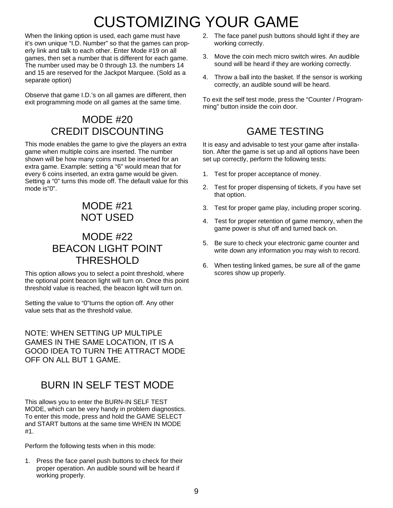### CUSTOMIZING YOUR GAME

When the linking option is used, each game must have it's own unique "I.D. Number" so that the games can properly link and talk to each other. Enter Mode #19 on all games, then set a number that is different for each game. The number used may be 0 through 13. the numbers 14 and 15 are reserved for the Jackpot Marquee. (Sold as a separate option)

Observe that game I.D.'s on all games are different, then exit programming mode on all games at the same time.

#### MODE #20 CREDIT DISCOUNTING

This mode enables the game to give the players an extra game when multiple coins are inserted. The number shown will be how many coins must be inserted for an extra game. Example: setting a "6" would mean that for every 6 coins inserted, an extra game would be given. Setting a "0" turns this mode off. The default value for this mode is"0".

#### MODE #21 NOT USED

#### MODE #22 BEACON LIGHT POINT THRESHOLD

This option allows you to select a point threshold, where the optional point beacon light will turn on. Once this point threshold value is reached, the beacon light will turn on.

Setting the value to "0"turns the option off. Any other value sets that as the threshold value.

NOTE: WHEN SETTING UP MULTIPLE GAMES IN THE SAME LOCATION, IT IS A GOOD IDEA TO TURN THE ATTRACT MODE OFF ON ALL BUT 1 GAME.

#### BURN IN SELF TEST MODE

This allows you to enter the BURN-IN SELF TEST MODE, which can be very handy in problem diagnostics. To enter this mode, press and hold the GAME SELECT and START buttons at the same time WHEN IN MODE #1.

Perform the following tests when in this mode:

1. Press the face panel push buttons to check for their proper operation. An audible sound will be heard if working properly.

- 2. The face panel push buttons should light if they are working correctly.
- 3. Move the coin mech micro switch wires. An audible sound will be heard if they are working correctly.
- 4. Throw a ball into the basket. If the sensor is working correctly, an audible sound will be heard.

To exit the self test mode, press the "Counter / Programming" button inside the coin door.

#### GAME TESTING

It is easy and advisable to test your game after installation. After the game is set up and all options have been set up correctly, perform the following tests:

- 1. Test for proper acceptance of money.
- 2. Test for proper dispensing of tickets, if you have set that option.
- 3. Test for proper game play, including proper scoring.
- 4. Test for proper retention of game memory, when the game power is shut off and turned back on.
- 5. Be sure to check your electronic game counter and write down any information you may wish to record.
- 6. When testing linked games, be sure all of the game scores show up properly.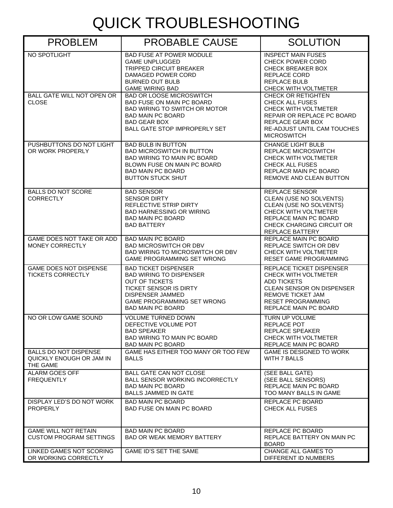## QUICK TROUBLESHOOTING

| <b>PROBLEM</b>                                                              | <b>PROBABLE CAUSE</b>                                                                                                                                                                                               | <b>SOLUTION</b>                                                                                                                                                                             |
|-----------------------------------------------------------------------------|---------------------------------------------------------------------------------------------------------------------------------------------------------------------------------------------------------------------|---------------------------------------------------------------------------------------------------------------------------------------------------------------------------------------------|
| NO SPOTLIGHT                                                                | <b>BAD FUSE AT POWER MODULE</b><br><b>GAME UNPLUGGED</b><br><b>TRIPPED CIRCUIT BREAKER</b><br>DAMAGED POWER CORD<br><b>BURNED OUT BULB</b><br><b>GAME WIRING BAD</b>                                                | <b>INSPECT MAIN FUSES</b><br><b>CHECK POWER CORD</b><br><b>CHECK BREAKER BOX</b><br><b>REPLACE CORD</b><br><b>REPLACE BULB</b><br><b>CHECK WITH VOLTMETER</b>                               |
| BALL GATE WILL NOT OPEN OR<br><b>CLOSE</b>                                  | <b>BAD OR LOOSE MICROSWITCH</b><br><b>BAD FUSE ON MAIN PC BOARD</b><br><b>BAD WIRING TO SWITCH OR MOTOR</b><br><b>BAD MAIN PC BOARD</b><br><b>BAD GEAR BOX</b><br><b>BALL GATE STOP IMPROPERLY SET</b>              | <b>CHECK OR RETIGHTEN</b><br><b>CHECK ALL FUSES</b><br>CHECK WITH VOLTMETER<br>REPAIR OR REPLACE PC BOARD<br>REPLACE GEAR BOX<br>RE-ADJUST UNTIL CAM TOUCHES<br><b>MICROSWITCH</b>          |
| PUSHBUTTONS DO NOT LIGHT<br>OR WORK PROPERLY                                | <b>BAD BULB IN BUTTON</b><br><b>BAD MICROSWITCH IN BUTTON</b><br><b>BAD WIRING TO MAIN PC BOARD</b><br>BLOWN FUSE ON MAIN PC BOARD<br><b>BAD MAIN PC BOARD</b><br><b>BUTTON STUCK SHUT</b>                          | <b>CHANGE LIGHT BULB</b><br><b>REPLACE MICROSWITCH</b><br><b>CHECK WITH VOLTMETER</b><br><b>CHECK ALL FUSES</b><br>REPLACR MAIN PC BOARD<br><b>REMOVE AND CLEAN BUTTON</b>                  |
| <b>BALLS DO NOT SCORE</b><br><b>CORRECTLY</b>                               | <b>BAD SENSOR</b><br><b>SENSOR DIRTY</b><br>REFLECTIVE STRIP DIRTY<br><b>BAD HARNESSING OR WIRING</b><br><b>BAD MAIN PC BOARD</b><br><b>BAD BATTERY</b>                                                             | REPLACE SENSOR<br>CLEAN (USE NO SOLVENTS)<br>CLEAN (USE NO SOLVENTS)<br><b>CHECK WITH VOLTMETER</b><br>REPLACE MAIN PC BOARD<br>CHECK CHARGING CIRCUIT OR<br><b>REPLACE BATTERY</b>         |
| GAME DOES NOT TAKE OR ADD<br>MONEY CORRECTLY                                | <b>BAD MAIN PC BOARD</b><br><b>BAD MICROSWITCH OR DBV</b><br>BAD WIRING TO MICROSWITCH OR DBV<br><b>GAME PROGRAMMING SET WRONG</b>                                                                                  | REPLACE MAIN PC BOARD<br>REPLACE SWITCH OR DBV<br><b>CHECK WITH VOLTMETER</b><br><b>RESET GAME PROGRAMMING</b>                                                                              |
| <b>GAME DOES NOT DISPENSE</b><br><b>TICKETS CORRECTLY</b>                   | <b>BAD TICKET DISPENSER</b><br><b>BAD WIRING TO DISPENSER</b><br><b>OUT OF TICKETS</b><br><b>TICKET SENSOR IS DIRTY</b><br><b>DISPENSER JAMMED</b><br><b>GAME PROGRAMMING SET WRONG</b><br><b>BAD MAIN PC BOARD</b> | REPLACE TICKET DISPENSER<br>CHECK WITH VOLTMETER<br><b>ADD TICKETS</b><br><b>CLEAN SENSOR ON DISPENSER</b><br><b>REMOVE TICKET JAM</b><br><b>RESET PROGRAMMING</b><br>REPLACE MAIN PC BOARD |
| NO OR LOW GAME SOUND                                                        | <b>VOLUME TURNED DOWN</b><br>DEFECTIVE VOLUME POT<br><b>BAD SPEAKER</b><br><b>BAD WIRING TO MAIN PC BOARD</b><br><b>BAD MAIN PC BOARD</b>                                                                           | TURN UP VOLUME<br>REPLACE POT<br><b>REPLACE SPEAKER</b><br>CHECK WITH VOLTMETER<br>REPLACE MAIN PC BOARD                                                                                    |
| <b>BALLS DO NOT DISPENSE</b><br>QUICKLY ENOUGH OR JAM IN<br><b>THE GAME</b> | GAME HAS EITHER TOO MANY OR TOO FEW<br><b>BALLS</b>                                                                                                                                                                 | <b>GAME IS DESIGNED TO WORK</b><br><b>WITH 7 BALLS</b>                                                                                                                                      |
| <b>ALARM GOES OFF</b><br><b>FREQUENTLY</b>                                  | <b>BALL GATE CAN NOT CLOSE</b><br><b>BALL SENSOR WORKING INCORRECTLY</b><br><b>BAD MAIN PC BOARD</b><br><b>BALLS JAMMED IN GATE</b>                                                                                 | (SEE BALL GATE)<br>(SEE BALL SENSORS)<br>REPLACE MAIN PC BOARD<br>TOO MANY BALLS IN GAME                                                                                                    |
| DISPLAY LED'S DO NOT WORK<br><b>PROPERLY</b>                                | <b>BAD MAIN PC BOARD</b><br>BAD FUSE ON MAIN PC BOARD                                                                                                                                                               | REPLACE PC BOARD<br><b>CHECK ALL FUSES</b>                                                                                                                                                  |
| <b>GAME WILL NOT RETAIN</b><br><b>CUSTOM PROGRAM SETTINGS</b>               | <b>BAD MAIN PC BOARD</b><br><b>BAD OR WEAK MEMORY BATTERY</b>                                                                                                                                                       | REPLACE PC BOARD<br>REPLACE BATTERY ON MAIN PC<br><b>BOARD</b>                                                                                                                              |
| LINKED GAMES NOT SCORING<br>OR WORKING CORRECTLY                            | <b>GAME ID'S SET THE SAME</b>                                                                                                                                                                                       | CHANGE ALL GAMES TO<br>DIFFERENT ID NUMBERS                                                                                                                                                 |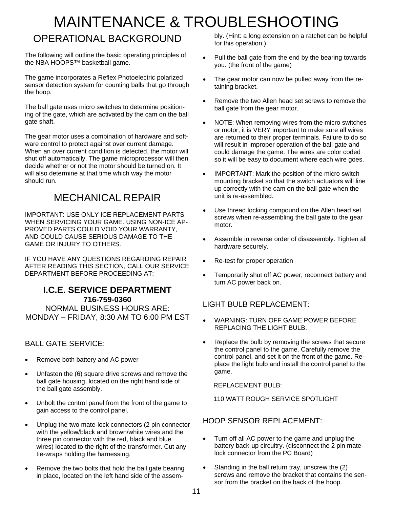### MAINTENANCE & TROUBLESHOOTING OPERATIONAL BACKGROUND

The following will outline the basic operating principles of the NBA HOOPS™ basketball game.

The game incorporates a Reflex Photoelectric polarized sensor detection system for counting balls that go through the hoop.

The ball gate uses micro switches to determine positioning of the gate, which are activated by the cam on the ball gate shaft.

The gear motor uses a combination of hardware and software control to protect against over current damage. When an over current condition is detected, the motor will shut off automatically. The game microprocessor will then decide whether or not the motor should be turned on. It will also determine at that time which way the motor should run.

#### MECHANICAL REPAIR

IMPORTANT: USE ONLY ICE REPLACEMENT PARTS WHEN SERVICING YOUR GAME. USING NON-ICE AP-PROVED PARTS COULD VOID YOUR WARRANTY, AND COULD CAUSE SERIOUS DAMAGE TO THE GAME OR INJURY TO OTHERS.

IF YOU HAVE ANY QUESTIONS REGARDING REPAIR AFTER READING THIS SECTION, CALL OUR SERVICE DEPARTMENT BEFORE PROCEEDING AT:

#### **I.C.E. SERVICE DEPARTMENT 716-759-0360**

NORMAL BUSINESS HOURS ARE: MONDAY – FRIDAY, 8:30 AM TO 6:00 PM EST

#### BALL GATE SERVICE:

- Remove both battery and AC power
- Unfasten the (6) square drive screws and remove the ball gate housing, located on the right hand side of the ball gate assembly.
- Unbolt the control panel from the front of the game to gain access to the control panel.
- Unplug the two mate-lock connectors (2 pin connector with the yellow/black and brown/white wires and the three pin connector with the red, black and blue wires) located to the right of the transformer. Cut any tie-wraps holding the harnessing.
- Remove the two bolts that hold the ball gate bearing in place, located on the left hand side of the assem-

bly. (Hint: a long extension on a ratchet can be helpful for this operation.)

- Pull the ball gate from the end by the bearing towards you. (the front of the game)
- The gear motor can now be pulled away from the retaining bracket.
- Remove the two Allen head set screws to remove the ball gate from the gear motor.
- NOTE: When removing wires from the micro switches or motor, it is VERY important to make sure all wires are returned to their proper terminals. Failure to do so will result in improper operation of the ball gate and could damage the game. The wires are color coded so it will be easy to document where each wire goes.
- IMPORTANT: Mark the position of the micro switch mounting bracket so that the switch actuators will line up correctly with the cam on the ball gate when the unit is re-assembled.
- Use thread locking compound on the Allen head set screws when re-assembling the ball gate to the gear motor.
- Assemble in reverse order of disassembly. Tighten all hardware securely.
- Re-test for proper operation
- Temporarily shut off AC power, reconnect battery and turn AC power back on.

#### LIGHT BULB REPLACEMENT:

- WARNING: TURN OFF GAME POWER BEFORE REPLACING THE LIGHT BULB.
- Replace the bulb by removing the screws that secure the control panel to the game. Carefully remove the control panel, and set it on the front of the game. Replace the light bulb and install the control panel to the game.

REPLACEMENT BULB:

110 WATT ROUGH SERVICE SPOTLIGHT

#### HOOP SENSOR REPLACEMENT:

- Turn off all AC power to the game and unplug the battery back-up circuitry. (disconnect the 2 pin matelock connector from the PC Board)
- Standing in the ball return tray, unscrew the (2) screws and remove the bracket that contains the sensor from the bracket on the back of the hoop.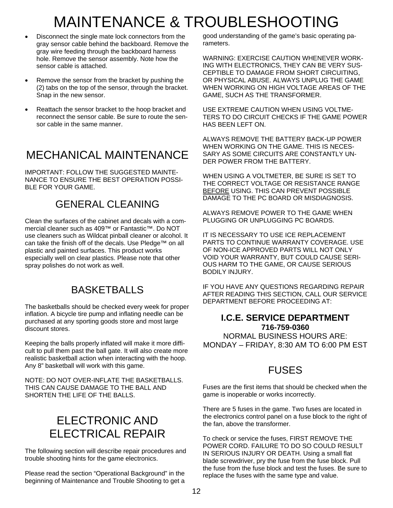### MAINTENANCE & TROUBLESHOOTING

- Disconnect the single mate lock connectors from the gray sensor cable behind the backboard. Remove the gray wire feeding through the backboard harness hole. Remove the sensor assembly. Note how the sensor cable is attached.
- Remove the sensor from the bracket by pushing the (2) tabs on the top of the sensor, through the bracket. Snap in the new sensor.
- Reattach the sensor bracket to the hoop bracket and reconnect the sensor cable. Be sure to route the sensor cable in the same manner.

### MECHANICAL MAINTENANCE

IMPORTANT: FOLLOW THE SUGGESTED MAINTE-NANCE TO ENSURE THE BEST OPERATION POSSI-BLE FOR YOUR GAME.

#### GENERAL CLEANING

Clean the surfaces of the cabinet and decals with a commercial cleaner such as 409™ or Fantastic™. Do NOT use cleaners such as Wildcat pinball cleaner or alcohol. It can take the finish off of the decals. Use Pledge™ on all plastic and painted surfaces. This product works especially well on clear plastics. Please note that other spray polishes do not work as well.

#### BASKETBALLS

The basketballs should be checked every week for proper inflation. A bicycle tire pump and inflating needle can be purchased at any sporting goods store and most large discount stores.

Keeping the balls properly inflated will make it more difficult to pull them past the ball gate. It will also create more realistic basketball action when interacting with the hoop. Any 8" basketball will work with this game.

NOTE: DO NOT OVER-INFLATE THE BASKETBALLS. THIS CAN CAUSE DAMAGE TO THE BALL AND SHORTEN THE LIFE OF THE BALLS.

#### ELECTRONIC AND ELECTRICAL REPAIR

The following section will describe repair procedures and trouble shooting hints for the game electronics.

Please read the section "Operational Background" in the beginning of Maintenance and Trouble Shooting to get a good understanding of the game's basic operating parameters.

WARNING: EXERCISE CAUTION WHENEVER WORK-ING WITH ELECTRONICS, THEY CAN BE VERY SUS-CEPTIBLE TO DAMAGE FROM SHORT CIRCUITING, OR PHYSICAL ABUSE. ALWAYS UNPLUG THE GAME WHEN WORKING ON HIGH VOLTAGE AREAS OF THE GAME, SUCH AS THE TRANSFORMER.

USE EXTREME CAUTION WHEN USING VOLTME-TERS TO DO CIRCUIT CHECKS IF THE GAME POWER HAS BEEN LEFT ON.

ALWAYS REMOVE THE BATTERY BACK-UP POWER WHEN WORKING ON THE GAME. THIS IS NECES-SARY AS SOME CIRCUITS ARE CONSTANTLY UN-DER POWER FROM THE BATTERY.

WHEN USING A VOLTMETER, BE SURE IS SET TO THE CORRECT VOLTAGE OR RESISTANCE RANGE BEFORE USING. THIS CAN PREVENT POSSIBLE DAMAGE TO THE PC BOARD OR MISDIAGNOSIS.

ALWAYS REMOVE POWER TO THE GAME WHEN PLUGGING OR UNPLUGGING PC BOARDS.

IT IS NECESSARY TO USE ICE REPLACEMENT PARTS TO CONTINUE WARRANTY COVERAGE. USE OF NON-ICE APPROVED PARTS WILL NOT ONLY VOID YOUR WARRANTY, BUT COULD CAUSE SERI-OUS HARM TO THE GAME, OR CAUSE SERIOUS BODILY INJURY.

IF YOU HAVE ANY QUESTIONS REGARDING REPAIR AFTER READING THIS SECTION, CALL OUR SERVICE DEPARTMENT BEFORE PROCEEDING AT:

#### **I.C.E. SERVICE DEPARTMENT 716-759-0360**  NORMAL BUSINESS HOURS ARE: MONDAY – FRIDAY, 8:30 AM TO 6:00 PM EST

#### FUSES

Fuses are the first items that should be checked when the game is inoperable or works incorrectly.

There are 5 fuses in the game. Two fuses are located in the electronics control panel on a fuse block to the right of the fan, above the transformer.

To check or service the fuses, FIRST REMOVE THE POWER CORD. FAILURE TO DO SO COULD RESULT IN SERIOUS INJURY OR DEATH. Using a small flat blade screwdriver, pry the fuse from the fuse block. Pull the fuse from the fuse block and test the fuses. Be sure to replace the fuses with the same type and value.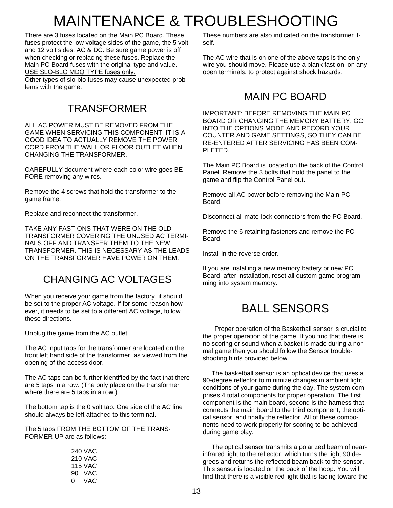### MAINTENANCE & TROUBLESHOOTING

There are 3 fuses located on the Main PC Board. These fuses protect the low voltage sides of the game, the 5 volt and 12 volt sides, AC & DC. Be sure game power is off when checking or replacing these fuses. Replace the Main PC Board fuses with the original type and value. USE SLO-BLO MDQ TYPE fuses only.

Other types of slo-blo fuses may cause unexpected problems with the game.

#### TRANSFORMER

ALL AC POWER MUST BE REMOVED FROM THE GAME WHEN SERVICING THIS COMPONENT. IT IS A GOOD IDEA TO ACTUALLY REMOVE THE POWER CORD FROM THE WALL OR FLOOR OUTLET WHEN CHANGING THE TRANSFORMER.

CAREFULLY document where each color wire goes BE-FORE removing any wires.

Remove the 4 screws that hold the transformer to the game frame.

Replace and reconnect the transformer.

TAKE ANY FAST-ONS THAT WERE ON THE OLD TRANSFORMER COVERING THE UNUSED AC TERMI-NALS OFF AND TRANSFER THEM TO THE NEW TRANSFORMER. THIS IS NECESSARY AS THE LEADS ON THE TRANSFORMER HAVE POWER ON THEM.

#### CHANGING AC VOLTAGES

When you receive your game from the factory, it should be set to the proper AC voltage. If for some reason however, it needs to be set to a different AC voltage, follow these directions.

Unplug the game from the AC outlet.

The AC input taps for the transformer are located on the front left hand side of the transformer, as viewed from the opening of the access door.

The AC taps can be further identified by the fact that there are 5 taps in a row. (The only place on the transformer where there are 5 taps in a row.)

The bottom tap is the 0 volt tap. One side of the AC line should always be left attached to this terminal.

The 5 taps FROM THE BOTTOM OF THE TRANS-FORMER UP are as follows:

|    | 240 VAC        |
|----|----------------|
|    | <b>210 VAC</b> |
|    | <b>115 VAC</b> |
|    | 90 VAC         |
| 0. | VAC.           |
|    |                |

These numbers are also indicated on the transformer itself.

The AC wire that is on one of the above taps is the only wire you should move. Please use a blank fast-on, on any open terminals, to protect against shock hazards.

#### MAIN PC BOARD

IMPORTANT: BEFORE REMOVING THE MAIN PC BOARD OR CHANGING THE MEMORY BATTERY, GO INTO THE OPTIONS MODE AND RECORD YOUR COUNTER AND GAME SETTINGS, SO THEY CAN BE RE-ENTERED AFTER SERVICING HAS BEEN COM-PLETED.

The Main PC Board is located on the back of the Control Panel. Remove the 3 bolts that hold the panel to the game and flip the Control Panel out.

Remove all AC power before removing the Main PC Board.

Disconnect all mate-lock connectors from the PC Board.

Remove the 6 retaining fasteners and remove the PC Board.

Install in the reverse order.

If you are installing a new memory battery or new PC Board, after installation, reset all custom game programming into system memory.

#### BALL SENSORS

 Proper operation of the Basketball sensor is crucial to the proper operation of the game. If you find that there is no scoring or sound when a basket is made during a normal game then you should follow the Sensor troubleshooting hints provided below.

 The basketball sensor is an optical device that uses a 90-degree reflector to minimize changes in ambient light conditions of your game during the day. The system comprises 4 total components for proper operation. The first component is the main board, second is the harness that connects the main board to the third component, the optical sensor, and finally the reflector. All of these components need to work properly for scoring to be achieved during game play.

 The optical sensor transmits a polarized beam of nearinfrared light to the reflector, which turns the light 90 degrees and returns the reflected beam back to the sensor. This sensor is located on the back of the hoop. You will find that there is a visible red light that is facing toward the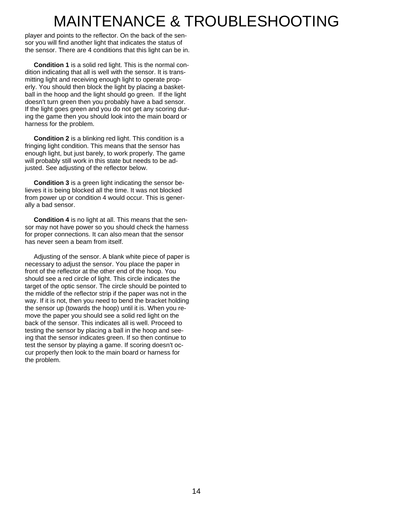### MAINTENANCE & TROUBLESHOOTING

player and points to the reflector. On the back of the sensor you will find another light that indicates the status of the sensor. There are 4 conditions that this light can be in.

 **Condition 1** is a solid red light. This is the normal condition indicating that all is well with the sensor. It is transmitting light and receiving enough light to operate properly. You should then block the light by placing a basketball in the hoop and the light should go green. If the light doesn't turn green then you probably have a bad sensor. If the light goes green and you do not get any scoring during the game then you should look into the main board or harness for the problem.

 **Condition 2** is a blinking red light. This condition is a fringing light condition. This means that the sensor has enough light, but just barely, to work properly. The game will probably still work in this state but needs to be adjusted. See adjusting of the reflector below.

 **Condition 3** is a green light indicating the sensor believes it is being blocked all the time. It was not blocked from power up or condition 4 would occur. This is generally a bad sensor.

 **Condition 4** is no light at all. This means that the sensor may not have power so you should check the harness for proper connections. It can also mean that the sensor has never seen a beam from itself.

 Adjusting of the sensor. A blank white piece of paper is necessary to adjust the sensor. You place the paper in front of the reflector at the other end of the hoop. You should see a red circle of light. This circle indicates the target of the optic sensor. The circle should be pointed to the middle of the reflector strip if the paper was not in the way. If it is not, then you need to bend the bracket holding the sensor up (towards the hoop) until it is. When you remove the paper you should see a solid red light on the back of the sensor. This indicates all is well. Proceed to testing the sensor by placing a ball in the hoop and seeing that the sensor indicates green. If so then continue to test the sensor by playing a game. If scoring doesn't occur properly then look to the main board or harness for the problem.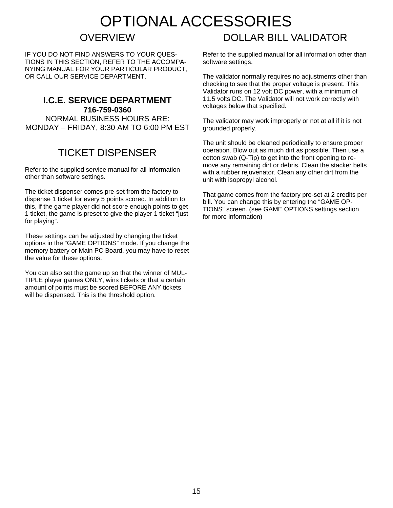### OPTIONAL ACCESSORIES

#### **OVERVIEW**

IF YOU DO NOT FIND ANSWERS TO YOUR QUES-TIONS IN THIS SECTION, REFER TO THE ACCOMPA-NYING MANUAL FOR YOUR PARTICULAR PRODUCT, OR CALL OUR SERVICE DEPARTMENT.

#### **I.C.E. SERVICE DEPARTMENT 716-759-0360**

NORMAL BUSINESS HOURS ARE: MONDAY – FRIDAY, 8:30 AM TO 6:00 PM EST

#### TICKET DISPENSER

Refer to the supplied service manual for all information other than software settings.

The ticket dispenser comes pre-set from the factory to dispense 1 ticket for every 5 points scored. In addition to this, if the game player did not score enough points to get 1 ticket, the game is preset to give the player 1 ticket "just for playing".

These settings can be adjusted by changing the ticket options in the "GAME OPTIONS" mode. If you change the memory battery or Main PC Board, you may have to reset the value for these options.

You can also set the game up so that the winner of MUL-TIPLE player games ONLY, wins tickets or that a certain amount of points must be scored BEFORE ANY tickets will be dispensed. This is the threshold option.

#### DOLLAR BILL VALIDATOR

Refer to the supplied manual for all information other than software settings.

The validator normally requires no adjustments other than checking to see that the proper voltage is present. This Validator runs on 12 volt DC power, with a minimum of 11.5 volts DC. The Validator will not work correctly with voltages below that specified.

The validator may work improperly or not at all if it is not grounded properly.

The unit should be cleaned periodically to ensure proper operation. Blow out as much dirt as possible. Then use a cotton swab (Q-Tip) to get into the front opening to remove any remaining dirt or debris. Clean the stacker belts with a rubber rejuvenator. Clean any other dirt from the unit with isopropyl alcohol.

That game comes from the factory pre-set at 2 credits per bill. You can change this by entering the "GAME OP-TIONS" screen. (see GAME OPTIONS settings section for more information)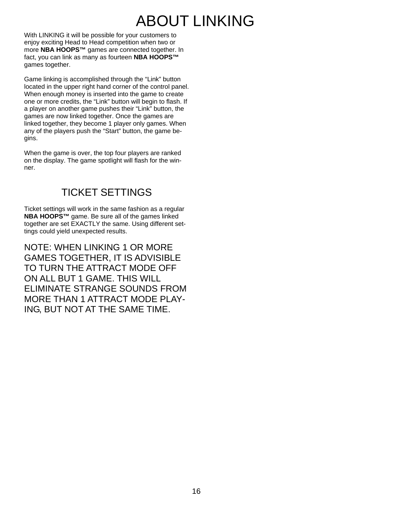### ABOUT LINKING

With LINKING it will be possible for your customers to enjoy exciting Head to Head competition when two or more **NBA HOOPS™** games are connected together. In fact, you can link as many as fourteen **NBA HOOPS™**  games together.

Game linking is accomplished through the "Link" button located in the upper right hand corner of the control panel. When enough money is inserted into the game to create one or more credits, the "Link" button will begin to flash. If a player on another game pushes their "Link" button, the games are now linked together. Once the games are linked together, they become 1 player only games. When any of the players push the "Start" button, the game begins.

When the game is over, the top four players are ranked on the display. The game spotlight will flash for the winner.

#### TICKET SETTINGS

Ticket settings will work in the same fashion as a regular **NBA HOOPS™** game. Be sure all of the games linked together are set EXACTLY the same. Using different settings could yield unexpected results.

NOTE: WHEN LINKING 1 OR MORE GAMES TOGETHER, IT IS ADVISIBLE TO TURN THE ATTRACT MODE OFF ON ALL BUT 1 GAME. THIS WILL ELIMINATE STRANGE SOUNDS FROM MORE THAN 1 ATTRACT MODE PLAY-ING, BUT NOT AT THE SAME TIME.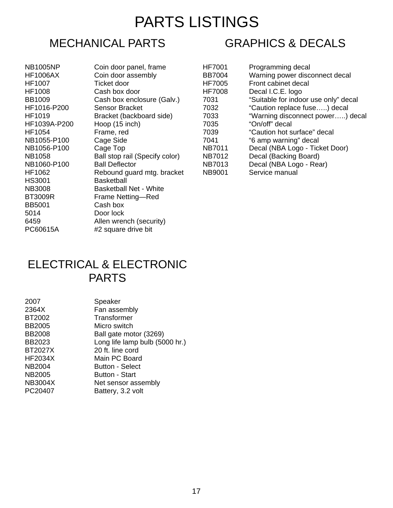### PARTS LISTINGS

#### MECHANICAL PARTS

NB1005NP **HF1006AX** HF1007 HF1008 BB1009 HF1016-P200 HF1019 HF1039A-P200 HF1054 NB1055-P100 NB1056-P100 **NB1058** NB1060-P100 **HF1062** HS3001 **NB3008 BT3009R** BB5001 5014 6459 PC60615A

| Coin door panel, frame         |
|--------------------------------|
| Coin door assembly             |
| Ticket door                    |
| Cash box door                  |
| Cash box enclosure (Galv.)     |
| Sensor Bracket                 |
| Bracket (backboard side)       |
| Hoop (15 inch)                 |
| Frame, red                     |
| Cage Side                      |
| Cage Top                       |
| Ball stop rail (Specify color) |
| <b>Ball Deflector</b>          |
| Rebound guard mtg. bracket     |
| Basketball                     |
| Basketball Net - White         |
| Frame Netting-Red              |
| Cash box                       |
| Door lock                      |
| Allen wrench (security)        |
| #2 square drive bit            |

| <b>GRAPHICS &amp; DECALS</b> |  |
|------------------------------|--|
|------------------------------|--|

| <b>HF7001</b> | Programming decal                    |
|---------------|--------------------------------------|
| <b>BB7004</b> | Warning power disconnect decal       |
| <b>HF7005</b> | Front cabinet decal                  |
| <b>HF7008</b> | Decal I.C.E. logo                    |
| 7031          | "Suitable for indoor use only" decal |
| 7032          | "Caution replace fuse) decal         |
| 7033          | "Warning disconnect power) decal     |
| 7035          | "On/off" decal                       |
| 7039          | "Caution hot surface" decal          |
| 7041          | "6 amp warning" decal                |
| <b>NB7011</b> | Decal (NBA Logo - Ticket Door)       |
| <b>NB7012</b> | Decal (Backing Board)                |
| <b>NB7013</b> | Decal (NBA Logo - Rear)              |
| <b>NB9001</b> | Service manual                       |

#### ELECTRICAL & ELECTRONIC PARTS

| 2007           | Speaker                        |
|----------------|--------------------------------|
| 2364X          | Fan assembly                   |
| BT2002         | Transformer                    |
| <b>BB2005</b>  | Micro switch                   |
| <b>BB2008</b>  | Ball gate motor (3269)         |
| BB2023         | Long life lamp bulb (5000 hr.) |
| <b>BT2027X</b> | 20 ft. line cord               |
| <b>HF2034X</b> | Main PC Board                  |
| NB2004         | <b>Button - Select</b>         |
| NB2005         | <b>Button - Start</b>          |
| <b>NB3004X</b> | Net sensor assembly            |
| PC20407        | Battery, 3.2 volt              |
|                |                                |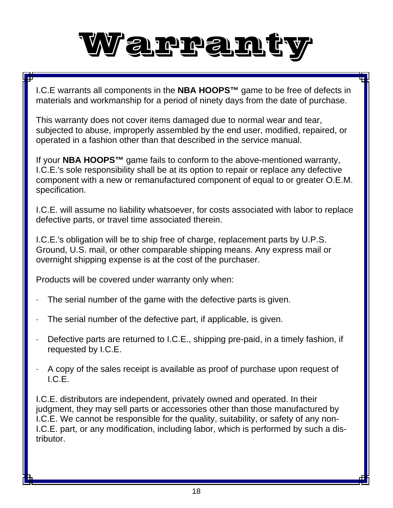

I.C.E warrants all components in the **NBA HOOPS™** game to be free of defects in materials and workmanship for a period of ninety days from the date of purchase.

This warranty does not cover items damaged due to normal wear and tear, subjected to abuse, improperly assembled by the end user, modified, repaired, or operated in a fashion other than that described in the service manual.

If your **NBA HOOPS™** game fails to conform to the above-mentioned warranty, I.C.E.'s sole responsibility shall be at its option to repair or replace any defective component with a new or remanufactured component of equal to or greater O.E.M. specification.

I.C.E. will assume no liability whatsoever, for costs associated with labor to replace defective parts, or travel time associated therein.

I.C.E.'s obligation will be to ship free of charge, replacement parts by U.P.S. Ground, U.S. mail, or other comparable shipping means. Any express mail or overnight shipping expense is at the cost of the purchaser.

Products will be covered under warranty only when:

- The serial number of the game with the defective parts is given.
- The serial number of the defective part, if applicable, is given.
- Defective parts are returned to I.C.E., shipping pre-paid, in a timely fashion, if requested by I.C.E.
- · A copy of the sales receipt is available as proof of purchase upon request of I.C.E.

I.C.E. distributors are independent, privately owned and operated. In their judgment, they may sell parts or accessories other than those manufactured by I.C.E. We cannot be responsible for the quality, suitability, or safety of any non-I.C.E. part, or any modification, including labor, which is performed by such a distributor.